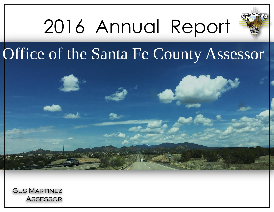

## 2016 Annual Report

## Office of the Santa Fe County Assessor

Gus Martinez Assessor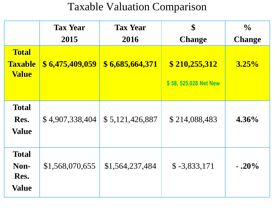## Taxable Valuation Comparison

|                                                | <b>Tax Year</b><br>2015 | <b>Tax Year</b><br>2016 | \$<br><b>Change</b>                   | $\frac{1}{2}$<br><b>Change</b> |
|------------------------------------------------|-------------------------|-------------------------|---------------------------------------|--------------------------------|
| <b>Total</b><br><b>Taxable</b><br><b>Value</b> | \$6,475,409,059         | \$6,685,664,371         | \$210,255,312<br>\$58,525,028 Net New | $3.25\%$                       |
| <b>Total</b><br>Res.<br><b>Value</b>           | \$4,907,338,404         | \$5,121,426,887         | \$214,088,483                         | $4.36\%$                       |
| <b>Total</b><br>Non-<br>Res.<br><b>Value</b>   | \$1,568,070,655         | \$1,564,237,484         | $$ -3,833,171$                        | $-.20%$                        |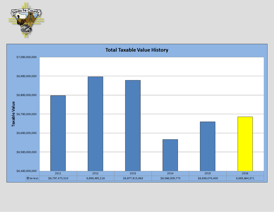

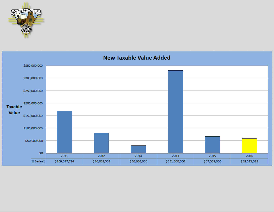

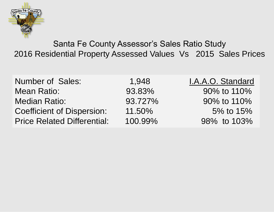

Santa Fe County Assessor's Sales Ratio Study 2016 Residential Property Assessed Values Vs 2015 Sales Prices

| <b>Number of Sales:</b>            | 1,948   | I.A.A.O. Standard |
|------------------------------------|---------|-------------------|
| <b>Mean Ratio:</b>                 | 93.83%  | 90% to 110%       |
| <b>Median Ratio:</b>               | 93.727% | 90% to 110%       |
| <b>Coefficient of Dispersion:</b>  | 11.50%  | 5% to 15%         |
| <b>Price Related Differential:</b> | 100.99% | 98% to 103%       |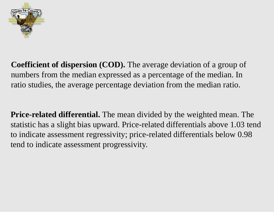

**Coefficient of dispersion (COD).** The average deviation of a group of numbers from the median expressed as a percentage of the median. In ratio studies, the average percentage deviation from the median ratio.

**Price-related differential.** The mean divided by the weighted mean. The statistic has a slight bias upward. Price-related differentials above 1.03 tend to indicate assessment regressivity; price-related differentials below 0.98 tend to indicate assessment progressivity.